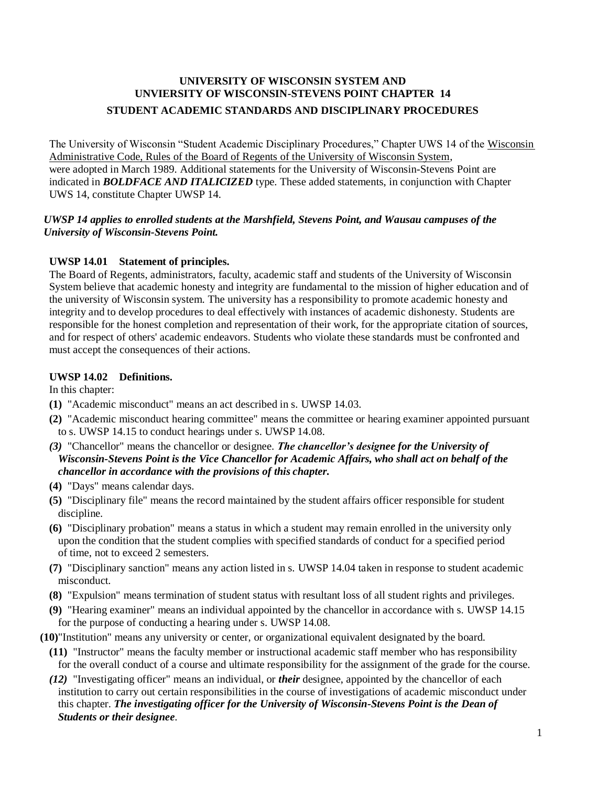# **UNIVERSITY OF WISCONSIN SYSTEM AND UNVIERSITY OF WISCONSIN-STEVENS POINT CHAPTER 14 STUDENT ACADEMIC STANDARDS AND DISCIPLINARY PROCEDURES**

The University of Wisconsin "Student Academic Disciplinary Procedures," Chapter UWS 14 of the Wisconsin Administrative Code, Rules of the Board of Regents of the University of Wisconsin System, were adopted in March 1989. Additional statements for the University of Wisconsin-Stevens Point are indicated in *BOLDFACE AND ITALICIZED* type. These added statements, in conjunction with Chapter UWS 14, constitute Chapter UWSP 14.

### *UWSP 14 applies to enrolled students at the Marshfield, Stevens Point, and Wausau campuses of the University of Wisconsin-Stevens Point.*

# **UWSP 14.01 Statement of principles.**

The Board of Regents, administrators, faculty, academic staff and students of the University of Wisconsin System believe that academic honesty and integrity are fundamental to the mission of higher education and of the university of Wisconsin system. The university has a responsibility to promote academic honesty and integrity and to develop procedures to deal effectively with instances of academic dishonesty. Students are responsible for the honest completion and representation of their work, for the appropriate citation of sources, and for respect of others' academic endeavors. Students who violate these standards must be confronted and must accept the consequences of their actions.

# **UWSP 14.02 Definitions.**

In this chapter:

- **(1)** "Academic misconduct" means an act described in s. [UWSP](https://docs.legis.wisconsin.gov/document/administrativecode/UWS%2014.03) 14.03.
- **(2)** "Academic misconduct hearing committee" means the committee or hearing examiner appointed pursuant to s. [UWSP 14.15 t](https://docs.legis.wisconsin.gov/document/administrativecode/UWS%2014.15)o conduct hearings under s. [UWSP](https://docs.legis.wisconsin.gov/document/administrativecode/UWS%2014.08) 14.08.
- *(3)* "Chancellor" means the chancellor or designee. *The chancellor's designee for the University of Wisconsin-Stevens Point is the Vice Chancellor for Academic Affairs, who shall act on behalf of the chancellor in accordance with the provisions of this chapter.*
- **(4)** "Days" means calendar days.
- **(5)** "Disciplinary file" means the record maintained by the student affairs officer responsible for student discipline.
- **(6)** "Disciplinary probation" means a status in which a student may remain enrolled in the university only upon the condition that the student complies with specified standards of conduct for a specified period of time, not to exceed 2 semesters.
- **(7)** "Disciplinary sanction" means any action listed in s. [UWSP 14.04 t](https://docs.legis.wisconsin.gov/document/administrativecode/UWS%2014.04)aken in response to student academic misconduct.
- **(8)** "Expulsion" means termination of student status with resultant loss of all student rights and privileges.
- **(9)** "Hearing examiner" means an individual appointed by the chancellor in accordance with s. [UWSP 14.15](https://docs.legis.wisconsin.gov/document/administrativecode/UWS%2014.15) for the purpose of conducting a hearing under s. [UWSP](https://docs.legis.wisconsin.gov/document/administrativecode/UWS%2014.08) 14.08.
- **(10)**"Institution" means any university or center, or organizational equivalent designated by the board.
	- **(11)** "Instructor" means the faculty member or instructional academic staff member who has responsibility for the overall conduct of a course and ultimate responsibility for the assignment of the grade for the course.
	- *(12)* "Investigating officer" means an individual, or *their* designee, appointed by the chancellor of each institution to carry out certain responsibilities in the course of investigations of academic misconduct under this chapter. *The investigating officer for the University of Wisconsin-Stevens Point is the Dean of Students or their designee.*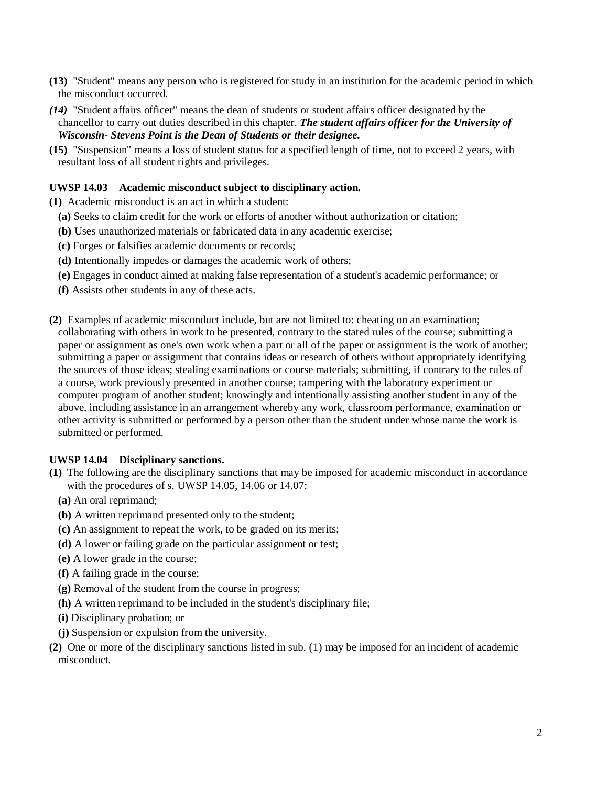- **(13)** "Student" means any person who is registered for study in an institution for the academic period in which the misconduct occurred.
- *(14)* "Student affairs officer" means the dean of students or student affairs officer designated by the chancellor to carry out duties described in this chapter. *The student affairs officer for the University of Wisconsin- Stevens Point is the Dean of Students or their designee.*
- **(15)** "Suspension" means a loss of student status for a specified length of time, not to exceed 2 years, with resultant loss of all student rights and privileges.

#### **UWSP 14.03 Academic misconduct subject to disciplinary action.**

- **(1)** Academic misconduct is an act in which a student:
	- **(a)** Seeks to claim credit for the work or efforts of another without authorization or citation;
	- **(b)** Uses unauthorized materials or fabricated data in any academic exercise;
	- **(c)** Forges or falsifies academic documents or records;
	- **(d)** Intentionally impedes or damages the academic work of others;
	- **(e)** Engages in conduct aimed at making false representation of a student's academic performance; or
	- **(f)** Assists other students in any of these acts.
- **(2)** Examples of academic misconduct include, but are not limited to: cheating on an examination; collaborating with others in work to be presented, contrary to the stated rules of the course; submitting a paper or assignment as one's own work when a part or all of the paper or assignment is the work of another; submitting a paper or assignment that contains ideas or research of others without appropriately identifying the sources of those ideas; stealing examinations or course materials; submitting, if contrary to the rules of a course, work previously presented in another course; tampering with the laboratory experiment or computer program of another student; knowingly and intentionally assisting another student in any of the above, including assistance in an arrangement whereby any work, classroom performance, examination or other activity is submitted or performed by a person other than the student under whose name the work is submitted or performed.

#### **UWSP 14.04 Disciplinary sanctions.**

- **(1)** The following are the disciplinary sanctions that may be imposed for academic misconduct in accordance with the procedures of s. [UWSP 14.05,](https://docs.legis.wisconsin.gov/document/administrativecode/UWS%2014.05) [14.06 o](https://docs.legis.wisconsin.gov/document/administrativecode/UWS%2014.06)r [14.07:](https://docs.legis.wisconsin.gov/document/administrativecode/UWS%2014.07)
	- **(a)** An oral reprimand;
	- **(b)** A written reprimand presented only to the student;
	- **(c)** An assignment to repeat the work, to be graded on its merits;
	- **(d)** A lower or failing grade on the particular assignment or test;
	- **(e)** A lower grade in the course;
	- **(f)** A failing grade in the course;
	- **(g)** Removal of the student from the course in progress;
	- **(h)** A written reprimand to be included in the student's disciplinary file;
	- **(i)** Disciplinary probation; or
	- **(j)** Suspension or expulsion from the university.
- **(2)** One or more of the disciplinary sanctions listed in sub. [\(1\) m](https://docs.legis.wisconsin.gov/document/administrativecode/UWS%2014.04(1))ay be imposed for an incident of academic misconduct.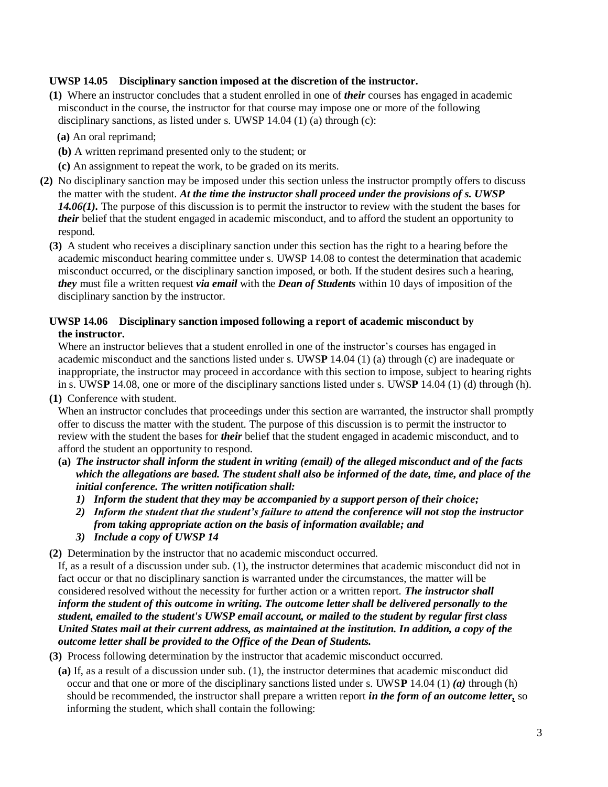# **UWSP 14.05 Disciplinary sanction imposed at the discretion of the instructor.**

- **(1)** Where an instructor concludes that a student enrolled in one of *their* courses has engaged in academic misconduct in the course, the instructor for that course may impose one or more of the following disciplinary sanctions, as listed under s. [UWSP 14.04 \(1\) \(a\) t](https://docs.legis.wisconsin.gov/document/administrativecode/UWS%2014.04(1)(a))hrough [\(c\):](https://docs.legis.wisconsin.gov/document/administrativecode/UWS%2014.04(1)(c))
	- **(a)** An oral reprimand;
	- **(b)** A written reprimand presented only to the student; or
	- **(c)** An assignment to repeat the work, to be graded on its merits.
- **(2)** No disciplinary sanction may be imposed under this section unless the instructor promptly offers to discuss the matter with the student. *At the time the instructor shall proceed under the provisions of s. UWSP 14.06(1).* The purpose of this discussion is to permit the instructor to review with the student the bases for *their* belief that the student engaged in academic misconduct, and to afford the student an opportunity to respond.
	- **(3)** A student who receives a disciplinary sanction under this section has the right to a hearing before the academic misconduct hearing committee under s. [UWSP 14.08 t](https://docs.legis.wisconsin.gov/document/administrativecode/UWS%2014.08)o contest the determination that academic misconduct occurred, or the disciplinary sanction imposed, or both. If the student desires such a hearing, *they* must file a written request *via email* with the *Dean of Students* within 10 days of imposition of the disciplinary sanction by the instructor.

### **UWSP 14.06 Disciplinary sanction imposed following a report of academic misconduct by the instructor.**

Where an instructor believes that a student enrolled in one of the instructor's courses has engaged in academic misconduct and the sanctions listed under s. UWS**P** [14.04 \(1\) \(a\) t](https://docs.legis.wisconsin.gov/document/administrativecode/UWS%2014.04(1)(a))hrough [\(c\) a](https://docs.legis.wisconsin.gov/document/administrativecode/UWS%2014.04(1)(c))re inadequate or inappropriate, the instructor may proceed in accordance with this section to impose, subject to hearing rights in s. [UWS](https://docs.legis.wisconsin.gov/document/administrativecode/UWS%2014.08)**P** [14.08, o](https://docs.legis.wisconsin.gov/document/administrativecode/UWS%2014.08)ne or more of the disciplinary sanctions listed under s. UWS**P** [14.04 \(1\) \(d\) t](https://docs.legis.wisconsin.gov/document/administrativecode/UWS%2014.04(1)(d))hrough [\(h\).](https://docs.legis.wisconsin.gov/document/administrativecode/UWS%2014.04(1)(h))

**(1)** Conference with student.

When an instructor concludes that proceedings under this section are warranted, the instructor shall promptly offer to discuss the matter with the student. The purpose of this discussion is to permit the instructor to review with the student the bases for *their* belief that the student engaged in academic misconduct, and to afford the student an opportunity to respond.

- **(a)** *The instructor shall inform the student in writing (email) of the alleged misconduct and of the facts which the allegations are based. The student shall also be informed of the date, time, and place of the initial conference. The written notification shall:*
	- *1) Inform the student that they may be accompanied by a support person of their choice;*
	- *2) Inform the student that the student's failure to attend the conference will not stop the instructor from taking appropriate action on the basis of information available; and*
	- *3) Include a copy of UWSP 14*

**(2)** Determination by the instructor that no academic misconduct occurred.

If, as a result of a discussion under sub. [\(1\), t](https://docs.legis.wisconsin.gov/document/administrativecode/UWS%2014.06(1))he instructor determines that academic misconduct did not in fact occur or that no disciplinary sanction is warranted under the circumstances, the matter will be considered resolved without the necessity for further action or a written report. *The instructor shall inform the student of this outcome in writing. The outcome letter shall be delivered personally to the student, emailed to the student's UWSP email account, or mailed to the student by regular first class United States mail at their current address, as maintained at the institution. In addition, a copy of the outcome letter shall be provided to the Office of the Dean of Students.*

- **(3)** Process following determination by the instructor that academic misconduct occurred.
	- **(a)** If, as a result of a discussion under sub. [\(1\), t](https://docs.legis.wisconsin.gov/document/administrativecode/UWS%2014.06(1))he instructor determines that academic misconduct did occur and that one or more of the disciplinary sanctions listed under s. UWS**P** 14.04 (1) *(a)* through [\(h\)](https://docs.legis.wisconsin.gov/document/administrativecode/UWS%2014.04(1)(h))  should be recommended, the instructor shall prepare a written report *in the form of an outcome letter,* so informing the student, which shall contain the following: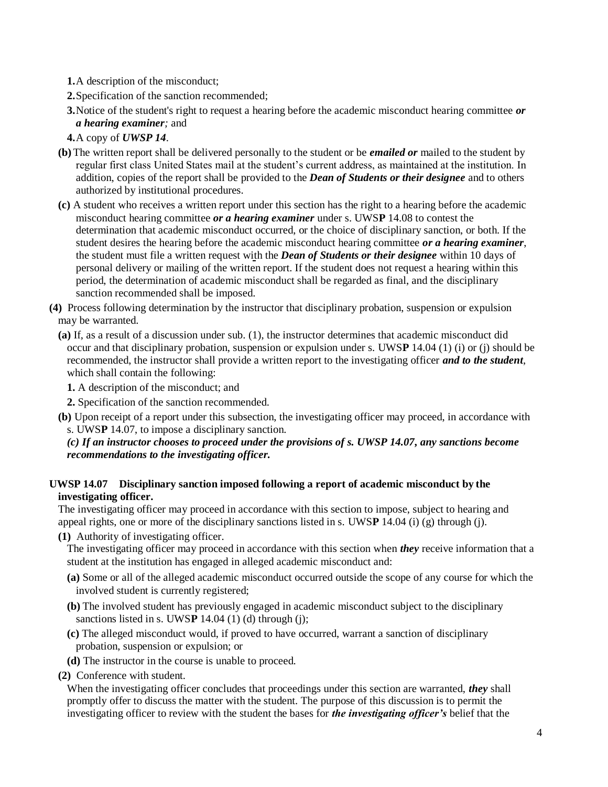**1.**A description of the misconduct;

**2.**Specification of the sanction recommended;

**3.**Notice of the student's right to request a hearing before the academic misconduct hearing committee *or a hearing examiner;* and

- **4.**A copy of *UWSP 14*.
- **(b)** The written report shall be delivered personally to the student or be *emailed or* mailed to the student by regular first class United States mail at the student's current address, as maintained at the institution. In addition, copies of the report shall be provided to the *Dean of Students or their designee* and to others authorized by institutional procedures.
- **(c)** A student who receives a written report under this section has the right to a hearing before the academic misconduct hearing committee *or a hearing examiner* under s. UWS**P** [14.08 t](https://docs.legis.wisconsin.gov/document/administrativecode/UWS%2014.08)o contest the determination that academic misconduct occurred, or the choice of disciplinary sanction, or both. If the student desires the hearing before the academic misconduct hearing committee *or a hearing examiner*, the student must file a written request with the *Dean of Students or their designee* within 10 days of personal delivery or mailing of the written report. If the student does not request a hearing within this period, the determination of academic misconduct shall be regarded as final, and the disciplinary sanction recommended shall be imposed.
- **(4)** Process following determination by the instructor that disciplinary probation, suspension or expulsion may be warranted.
	- **(a)** If, as a result of a discussion under sub. [\(1\), t](https://docs.legis.wisconsin.gov/document/administrativecode/UWS%2014.06(1))he instructor determines that academic misconduct did occur and that disciplinary probation, suspension or expulsion under s. UWS**P** [14.04 \(1\) \(i\) o](https://docs.legis.wisconsin.gov/document/administrativecode/UWS%2014.04(1)(i))r [\(j\) s](https://docs.legis.wisconsin.gov/document/administrativecode/UWS%2014.04(1)(j))hould be recommended, the instructor shall provide a written report to the investigating officer *and to the student*, which shall contain the following:
		- **1.** A description of the misconduct; and
		- **2.** Specification of the sanction recommended.
	- **(b)** Upon receipt of a report under this subsection, the investigating officer may proceed, in accordance with s. UWS**P** [14.07, t](https://docs.legis.wisconsin.gov/document/administrativecode/UWS%2014.07)o impose a disciplinary sanction.

*(c) If an instructor chooses to proceed under the provisions of s. UWSP 14.07, any sanctions become recommendations to the investigating officer.* 

# **UWSP 14.07 Disciplinary sanction imposed following a report of academic misconduct by the investigating officer.**

The investigating officer may proceed in accordance with this section to impose, subject to hearing and appeal rights, one or more of the disciplinary sanctions listed in s. UWS**P** [14.04 \(i\) \(g\) t](https://docs.legis.wisconsin.gov/document/administrativecode/UWS%2014.04(1)(g))hrough [\(j\).](https://docs.legis.wisconsin.gov/document/administrativecode/UWS%2014.04(1)(j))

**(1)** Authority of investigating officer.

The investigating officer may proceed in accordance with this section when *they* receive information that a student at the institution has engaged in alleged academic misconduct and:

- **(a)** Some or all of the alleged academic misconduct occurred outside the scope of any course for which the involved student is currently registered;
- **(b)** The involved student has previously engaged in academic misconduct subject to the disciplinary sanctions listed in s. UWS**[P](https://docs.legis.wisconsin.gov/document/administrativecode/UWS%2014.04(1)(g))** 14.04 (1) (d) through [\(j\);](https://docs.legis.wisconsin.gov/document/administrativecode/UWS%2014.04(1)(j))
- **(c)** The alleged misconduct would, if proved to have occurred, warrant a sanction of disciplinary probation, suspension or expulsion; or
- **(d)** The instructor in the course is unable to proceed.

**(2)** Conference with student.

When the investigating officer concludes that proceedings under this section are warranted, *they* shall promptly offer to discuss the matter with the student. The purpose of this discussion is to permit the investigating officer to review with the student the bases for *the investigating officer's* belief that the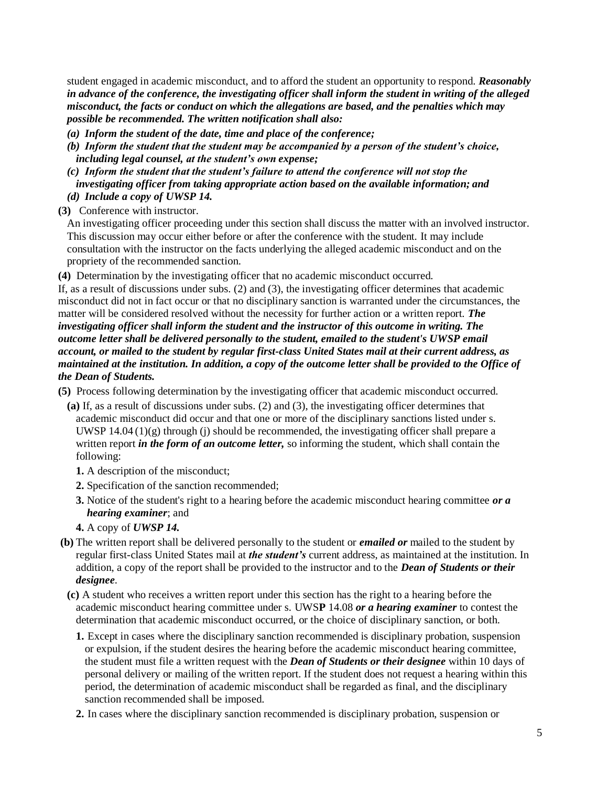student engaged in academic misconduct, and to afford the student an opportunity to respond. *Reasonably in advance of the conference, the investigating officer shall inform the student in writing of the alleged misconduct, the facts or conduct on which the allegations are based, and the penalties which may possible be recommended. The written notification shall also:*

- *(a) Inform the student of the date, time and place of the conference;*
- *(b) Inform the student that the student may be accompanied by a person of the student's choice, including legal counsel, at the student's own expense;*
- *(c) Inform the student that the student's failure to attend the conference will not stop the investigating officer from taking appropriate action based on the available information; and (d) Include a copy of UWSP 14.*
- **(3)** Conference with instructor.

An investigating officer proceeding under this section shall discuss the matter with an involved instructor. This discussion may occur either before or after the conference with the student. It may include consultation with the instructor on the facts underlying the alleged academic misconduct and on the propriety of the recommended sanction.

**(4)** Determination by the investigating officer that no academic misconduct occurred.

If, as a result of discussions under subs. [\(2\) a](https://docs.legis.wisconsin.gov/document/administrativecode/UWS%2014.07(2))nd [\(3\), t](https://docs.legis.wisconsin.gov/document/administrativecode/UWS%2014.07(3))he investigating officer determines that academic misconduct did not in fact occur or that no disciplinary sanction is warranted under the circumstances, the matter will be considered resolved without the necessity for further action or a written report. *The investigating officer shall inform the student and the instructor of this outcome in writing. The outcome letter shall be delivered personally to the student, emailed to the student's UWSP email account, or mailed to the student by regular first-class United States mail at their current address, as maintained at the institution. In addition, a copy of the outcome letter shall be provided to the Office of the Dean of Students.*

**(5)** Process following determination by the investigating officer that academic misconduct occurred.

- **(a)** If, as a result of discussions under subs. [\(2\) a](https://docs.legis.wisconsin.gov/document/administrativecode/UWS%2014.07(2))nd [\(3\),](https://docs.legis.wisconsin.gov/document/administrativecode/UWS%2014.07(3)) the investigating officer determines that academic misconduct did occur and that one or more of the disciplinary sanctions listed under s. UWSP  $14.04 \left(1\right)\left(g\right)$  through [\(j\) s](https://docs.legis.wisconsin.gov/document/administrativecode/UWS%2014.04(1)(j))hould be recommended, the investigating officer shall prepare a written report *in the form of an outcome letter,* so informing the student, which shall contain the following:
	- **1.** A description of the misconduct;
	- **2.** Specification of the sanction recommended;
	- **3.** Notice of the student's right to a hearing before the academic misconduct hearing committee *or a hearing examiner*; and
	- **4.** A copy of *UWSP 14.*
- **(b)** The written report shall be delivered personally to the student or *emailed or* mailed to the student by regular first-class United States mail at *the student's* current address, as maintained at the institution. In addition, a copy of the report shall be provided to the instructor and to the *Dean of Students or their designee.*
	- **(c)** A student who receives a written report under this section has the right to a hearing before the academic misconduct hearing committee under s. UWS**P** [14.08](https://docs.legis.wisconsin.gov/document/administrativecode/UWS%2014.08) *or a hearing examiner* to contest the determination that academic misconduct occurred, or the choice of disciplinary sanction, or both.
		- **1.** Except in cases where the disciplinary sanction recommended is disciplinary probation, suspension or expulsion, if the student desires the hearing before the academic misconduct hearing committee, the student must file a written request with the *Dean of Students or their designee* within 10 days of personal delivery or mailing of the written report. If the student does not request a hearing within this period, the determination of academic misconduct shall be regarded as final, and the disciplinary sanction recommended shall be imposed.
		- **2.** In cases where the disciplinary sanction recommended is disciplinary probation, suspension or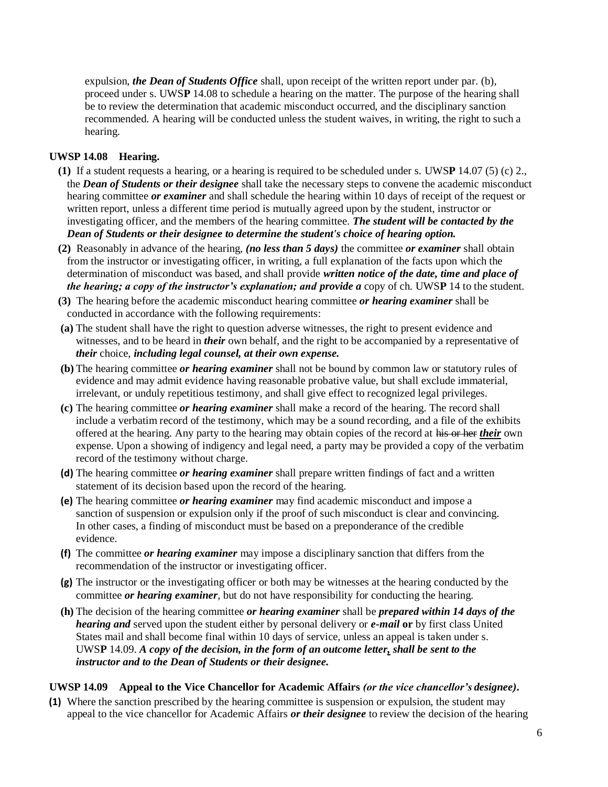expulsion, *the Dean of Students Office* shall, upon receipt of the written report under par. [\(b\),](https://docs.legis.wisconsin.gov/document/administrativecode/UWS%2014.07(5)(b)) proceed under s. UWS**P** [14.08 t](https://docs.legis.wisconsin.gov/document/administrativecode/UWS%2014.08)o schedule a hearing on the matter. The purpose of the hearing shall be to review the determination that academic misconduct occurred, and the disciplinary sanction recommended. A hearing will be conducted unless the student waives, in writing, the right to such a hearing.

### **UWSP 14.08 Hearing.**

- **(1)** If a student requests a hearing, or a hearing is required to be scheduled under s. UWS**P** [14.07 \(5\) \(c\) 2.,](https://docs.legis.wisconsin.gov/document/administrativecode/UWS%2014.07(5)(c)2) the *Dean of Students or their designee* shall take the necessary steps to convene the academic misconduct hearing committee *or examiner* and shall schedule the hearing within 10 days of receipt of the request or written report, unless a different time period is mutually agreed upon by the student, instructor or investigating officer, and the members of the hearing committee. *The student will be contacted by the Dean of Students or their designee to determine the student's choice of hearing option.*
- **(2)** Reasonably in advance of the hearing, *(no less than 5 days)* the committee *or examiner* shall obtain from the instructor or investigating officer, in writing, a full explanation of the facts upon which the determination of misconduct was based, and shall provide *written notice of the date, time and place of the hearing; a copy of the instructor's explanation; and provide a* copy of ch. [UWS](https://docs.legis.wisconsin.gov/document/administrativecode/ch.%20UWS%2014)**P** 14 to the student.
- **(3)** The hearing before the academic misconduct hearing committee *or hearing examiner* shall be conducted in accordance with the following requirements:
- **(a)** The student shall have the right to question adverse witnesses, the right to present evidence and witnesses, and to be heard in *their* own behalf, and the right to be accompanied by a representative of *their* choice, *including legal counsel, at their own expense.*
- **(b)** The hearing committee *or hearing examiner* shall not be bound by common law or statutory rules of evidence and may admit evidence having reasonable probative value, but shall exclude immaterial, irrelevant, or unduly repetitious testimony, and shall give effect to recognized legal privileges.
- **(c)** The hearing committee *or hearing examiner* shall make a record of the hearing. The record shall include a verbatim record of the testimony, which may be a sound recording, and a file of the exhibits offered at the hearing. Any party to the hearing may obtain copies of the record at his or her *their* own expense. Upon a showing of indigency and legal need, a party may be provided a copy of the verbatim record of the testimony without charge.
- **(d)** The hearing committee *or hearing examiner* shall prepare written findings of fact and a written statement of its decision based upon the record of the hearing.
- **(e)** The hearing committee *or hearing examiner* may find academic misconduct and impose a sanction of suspension or expulsion only if the proof of such misconduct is clear and convincing. In other cases, a finding of misconduct must be based on a preponderance of the credible evidence.
- **(f)** The committee *or hearing examiner* may impose a disciplinary sanction that differs from the recommendation of the instructor or investigating officer.
- **(g)** The instructor or the investigating officer or both may be witnesses at the hearing conducted by the committee *or hearing examiner*, but do not have responsibility for conducting the hearing.
- **(h)** The decision of the hearing committee *or hearing examiner* shall be *prepared within 14 days of the hearing and* served upon the student either by personal delivery or *e-mail* **or** by first class United States mail and shall become final within 10 days of service, unless an appeal is taken under s. UWS**P** [14.09.](https://docs.legis.wisconsin.gov/document/administrativecode/UWS%2014.09) *A copy of the decision, in the form of an outcome letter, shall be sent to the instructor and to the Dean of Students or their designee.*

### **UWSP 14.09 Appeal to the Vice Chancellor for Academic Affairs** *(or the vice chancellor's designee)***.**

**(1)** Where the sanction prescribed by the hearing committee is suspension or expulsion, the student may appeal to the vice chancellor for Academic Affairs *or their designee* to review the decision of the hearing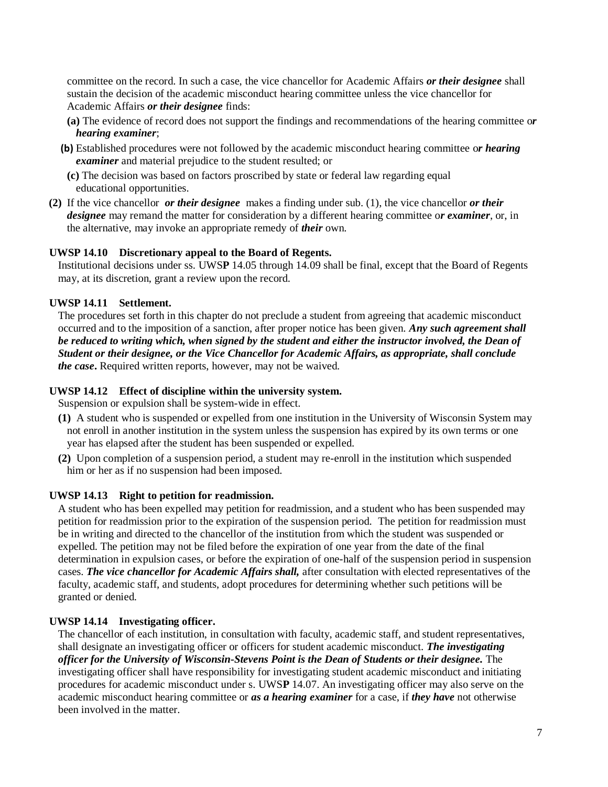committee on the record. In such a case, the vice chancellor for Academic Affairs *or their designee* shall sustain the decision of the academic misconduct hearing committee unless the vice chancellor for Academic Affairs *or their designee* finds:

- **(a)** The evidence of record does not support the findings and recommendations of the hearing committee o*r hearing examiner*;
- **(b)** Established procedures were not followed by the academic misconduct hearing committee o*r hearing examiner* and material prejudice to the student resulted; or
	- **(c)** The decision was based on factors proscribed by state or federal law regarding equal educational opportunities.
- **(2)** If the vice chancellor *or their designee* makes a finding under sub. [\(1\), t](https://docs.legis.wisconsin.gov/document/administrativecode/UWS%2014.09(1))he vice chancellor *or their designee* may remand the matter for consideration by a different hearing committee o*r examiner*, or, in the alternative, may invoke an appropriate remedy of *their* own.

### **UWSP 14.10 Discretionary appeal to the Board of Regents.**

Institutional decisions under ss. UWS**P** [14.05 t](https://docs.legis.wisconsin.gov/document/administrativecode/UWS%2014.05)hrough [14.09 s](https://docs.legis.wisconsin.gov/document/administrativecode/UWS%2014.09)hall be final, except that the Board of Regents may, at its discretion, grant a review upon the record.

### **UWSP 14.11 Settlement.**

The procedures set forth in this chapter do not preclude a student from agreeing that academic misconduct occurred and to the imposition of a sanction, after proper notice has been given. *Any such agreement shall be reduced to writing which, when signed by the student and either the instructor involved, the Dean of Student or their designee, or the Vice Chancellor for Academic Affairs, as appropriate, shall conclude the case***.** Required written reports, however, may not be waived.

#### **UWSP 14.12 Effect of discipline within the university system.**

Suspension or expulsion shall be system-wide in effect.

- **(1)** A student who is suspended or expelled from one institution in the University of Wisconsin System may not enroll in another institution in the system unless the suspension has expired by its own terms or one year has elapsed after the student has been suspended or expelled.
- **(2)** Upon completion of a suspension period, a student may re-enroll in the institution which suspended him or her as if no suspension had been imposed.

#### **UWSP 14.13 Right to petition for readmission.**

A student who has been expelled may petition for readmission, and a student who has been suspended may petition for readmission prior to the expiration of the suspension period. The petition for readmission must be in writing and directed to the chancellor of the institution from which the student was suspended or expelled. The petition may not be filed before the expiration of one year from the date of the final determination in expulsion cases, or before the expiration of one-half of the suspension period in suspension cases. *The vice chancellor for Academic Affairs shall,* after consultation with elected representatives of the faculty, academic staff, and students, adopt procedures for determining whether such petitions will be granted or denied.

#### **UWSP 14.14 Investigating officer.**

The chancellor of each institution, in consultation with faculty, academic staff, and student representatives, shall designate an investigating officer or officers for student academic misconduct. *The investigating officer for the University of Wisconsin-Stevens Point is the Dean of Students or their designee.* The investigating officer shall have responsibility for investigating student academic misconduct and initiating procedures for academic misconduct under s. UWS**P** [14.07.](https://docs.legis.wisconsin.gov/document/administrativecode/UWS%2014.07) An investigating officer may also serve on the academic misconduct hearing committee or *as a hearing examiner* for a case, if *they have* not otherwise been involved in the matter.